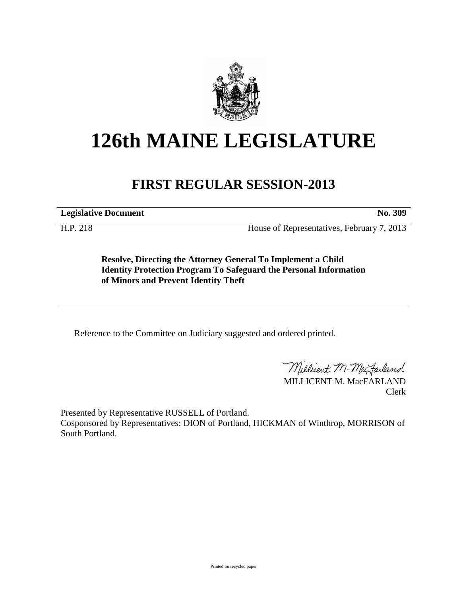

## **126th MAINE LEGISLATURE**

## **FIRST REGULAR SESSION-2013**

**Legislative Document No. 309**

H.P. 218 House of Representatives, February 7, 2013

**Resolve, Directing the Attorney General To Implement a Child Identity Protection Program To Safeguard the Personal Information of Minors and Prevent Identity Theft**

Reference to the Committee on Judiciary suggested and ordered printed.

Millicent M. MacJarland

MILLICENT M. MacFARLAND Clerk

Presented by Representative RUSSELL of Portland. Cosponsored by Representatives: DION of Portland, HICKMAN of Winthrop, MORRISON of

South Portland.